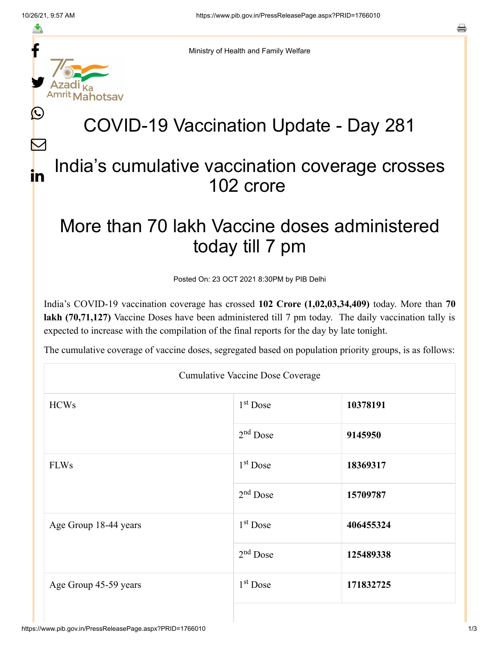≛

Ŀ

 $\bm{\nabla}$ 

in



Ministry of Health and Family Welfare

# COVID-19 Vaccination Update - Day 281

### India's cumulative vaccination coverage crosses 102 crore

## More than 70 lakh Vaccine doses administered today till 7 pm

Posted On: 23 OCT 2021 8:30PM by PIB Delhi

India's COVID-19 vaccination coverage has crossed **102 Crore (1,02,03,34,409)** today. More than **70 lakh (70,71,127)** Vaccine Doses have been administered till 7 pm today. The daily vaccination tally is expected to increase with the compilation of the final reports for the day by late tonight.

The cumulative coverage of vaccine doses, segregated based on population priority groups, is as follows:

| <b>Cumulative Vaccine Dose Coverage</b> |                      |           |  |  |
|-----------------------------------------|----------------------|-----------|--|--|
| <b>HCWs</b>                             | 1 <sup>st</sup> Dose | 10378191  |  |  |
|                                         | $2nd$ Dose           | 9145950   |  |  |
| <b>FLWs</b>                             | $1st$ Dose           | 18369317  |  |  |
|                                         | $2nd$ Dose           | 15709787  |  |  |
| Age Group 18-44 years                   | $1st$ Dose           | 406455324 |  |  |
|                                         | $2nd$ Dose           | 125489338 |  |  |
| Age Group 45-59 years                   | $1st$ Dose           | 171832725 |  |  |
|                                         |                      |           |  |  |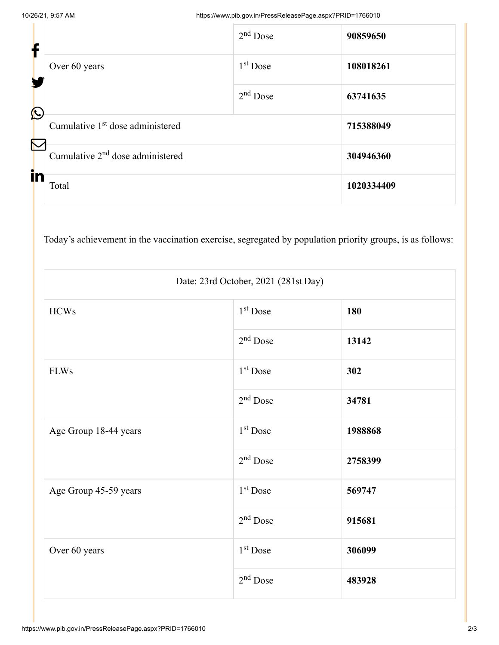| f                     |                                              | $2nd$ Dose           | 90859650   |
|-----------------------|----------------------------------------------|----------------------|------------|
|                       | Over 60 years                                | 1 <sup>st</sup> Dose | 108018261  |
| $\bigcirc$            |                                              | $2nd$ Dose           | 63741635   |
| $\boldsymbol{\nabla}$ | Cumulative 1 <sup>st</sup> dose administered |                      | 715388049  |
|                       | Cumulative 2 <sup>nd</sup> dose administered |                      | 304946360  |
| in                    | Total                                        |                      | 1020334409 |

Today's achievement in the vaccination exercise, segregated by population priority groups, is as follows:

| Date: 23rd October, 2021 (281st Day) |                      |         |  |  |
|--------------------------------------|----------------------|---------|--|--|
| <b>HCWs</b>                          | 1 <sup>st</sup> Dose | 180     |  |  |
|                                      | $2nd$ Dose           | 13142   |  |  |
| <b>FLWs</b>                          | 1 <sup>st</sup> Dose | 302     |  |  |
|                                      | $2nd$ Dose           | 34781   |  |  |
| Age Group 18-44 years                | 1 <sup>st</sup> Dose | 1988868 |  |  |
|                                      | $2nd$ Dose           | 2758399 |  |  |
| Age Group 45-59 years                | $1st$ Dose           | 569747  |  |  |
|                                      | $2nd$ Dose           | 915681  |  |  |
| Over 60 years                        | $1st$ Dose           | 306099  |  |  |
|                                      | $2nd$ Dose           | 483928  |  |  |